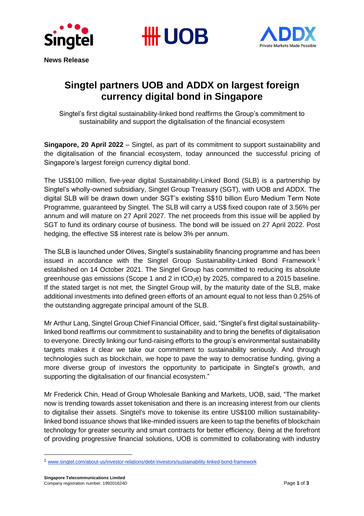





# **Singtel partners UOB and ADDX on largest foreign currency digital bond in Singapore**

Singtel's first digital sustainability-linked bond reaffirms the Group's commitment to sustainability and support the digitalisation of the financial ecosystem

**Singapore, 20 April 2022** – Singtel, as part of its commitment to support sustainability and the digitalisation of the financial ecosystem, today announced the successful pricing of Singapore's largest foreign currency digital bond.

The US\$100 million, five-year digital Sustainability-Linked Bond (SLB) is a partnership by Singtel's wholly-owned subsidiary, Singtel Group Treasury (SGT), with UOB and ADDX. The digital SLB will be drawn down under SGT's existing S\$10 billion Euro Medium Term Note Programme, guaranteed by Singtel. The SLB will carry a US\$ fixed coupon rate of 3.56% per annum and will mature on 27 April 2027. The net proceeds from this issue will be applied by SGT to fund its ordinary course of business. The bond will be issued on 27 April 2022. Post hedging, the effective S\$ interest rate is below 3% per annum.

The SLB is launched under Olives, Singtel's sustainability financing programme and has been issued in accordance with the Singtel Group Sustainability-Linked Bond Framework<sup>1</sup> established on 14 October 2021. The Singtel Group has committed to reducing its absolute greenhouse gas emissions (Scope 1 and 2 in  $tCO<sub>2</sub>e$ ) by 2025, compared to a 2015 baseline. If the stated target is not met, the Singtel Group will, by the maturity date of the SLB, make additional investments into defined green efforts of an amount equal to not less than 0.25% of the outstanding aggregate principal amount of the SLB.

Mr Arthur Lang, Singtel Group Chief Financial Officer, said, "Singtel's first digital sustainabilitylinked bond reaffirms our commitment to sustainability and to bring the benefits of digitalisation to everyone. Directly linking our fund-raising efforts to the group's environmental sustainability targets makes it clear we take our commitment to sustainability seriously. And through technologies such as blockchain, we hope to pave the way to democratise funding, giving a more diverse group of investors the opportunity to participate in Singtel's growth, and supporting the digitalisation of our financial ecosystem."

Mr Frederick Chin, Head of Group Wholesale Banking and Markets, UOB, said, "The market now is trending towards asset tokenisation and there is an increasing interest from our clients to digitalise their assets. Singtel's move to tokenise its entire US\$100 million sustainabilitylinked bond issuance shows that like-minded issuers are keen to tap the benefits of blockchain technology for greater security and smart contracts for better efficiency. Being at the forefront of providing progressive financial solutions, UOB is committed to collaborating with industry

<sup>1</sup> [www.singtel.com/about-us/investor-relations/debt-investors/sustainability-linked-bond-framework](http://www.singtel.com/about-us/investor-relations/debt-investors/sustainability-linked-bond-framework)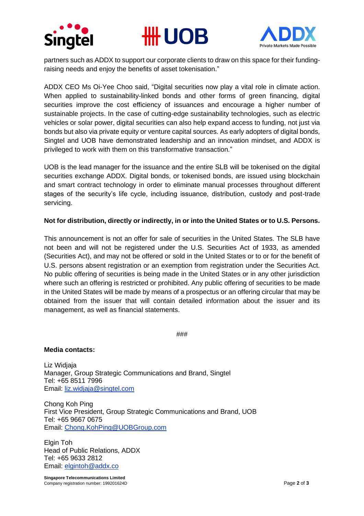





partners such as ADDX to support our corporate clients to draw on this space for their fundingraising needs and enjoy the benefits of asset tokenisation."

ADDX CEO Ms Oi-Yee Choo said, "Digital securities now play a vital role in climate action. When applied to sustainability-linked bonds and other forms of green financing, digital securities improve the cost efficiency of issuances and encourage a higher number of sustainable projects. In the case of cutting-edge sustainability technologies, such as electric vehicles or solar power, digital securities can also help expand access to funding, not just via bonds but also via private equity or venture capital sources. As early adopters of digital bonds, Singtel and UOB have demonstrated leadership and an innovation mindset, and ADDX is privileged to work with them on this transformative transaction."

UOB is the lead manager for the issuance and the entire SLB will be tokenised on the digital securities exchange ADDX. Digital bonds, or tokenised bonds, are issued using blockchain and smart contract technology in order to eliminate manual processes throughout different stages of the security's life cycle, including issuance, distribution, custody and post-trade servicing.

## **Not for distribution, directly or indirectly, in or into the United States or to U.S. Persons.**

This announcement is not an offer for sale of securities in the United States. The SLB have not been and will not be registered under the U.S. Securities Act of 1933, as amended (Securities Act), and may not be offered or sold in the United States or to or for the benefit of U.S. persons absent registration or an exemption from registration under the Securities Act. No public offering of securities is being made in the United States or in any other jurisdiction where such an offering is restricted or prohibited. Any public offering of securities to be made in the United States will be made by means of a prospectus or an offering circular that may be obtained from the issuer that will contain detailed information about the issuer and its management, as well as financial statements.

###

#### **Media contacts:**

Liz Widjaja Manager, Group Strategic Communications and Brand, Singtel Tel: +65 8511 7996 Email: [liz.widjaja@singtel.com](mailto:liz.widjaja@singtel.com)

Chong Koh Ping First Vice President, Group Strategic Communications and Brand, UOB Tel: +65 9667 0675 Email: [Chong.KohPing@UOBGroup.com](mailto:Chong.KohPing@UOBGroup.com)

Elgin Toh Head of Public Relations, ADDX Tel: +65 9633 2812 Email: [elgintoh@addx.co](mailto:elgintoh@addx.co)